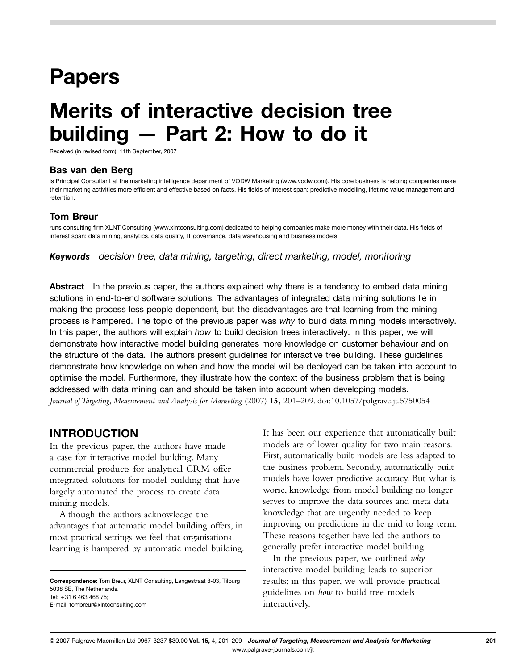# **Papers**

# **Merits of interactive decision tree**  building – Part 2: How to do it

Received (in revised form): 11th September, 2007

#### **Bas van den Berg**

is Principal Consultant at the marketing intelligence department of VODW Marketing (www.vodw.com). His core business is helping companies make their marketing activities more efficient and effective based on facts. His fields of interest span: predictive modelling, lifetime value management and retention.

#### **Tom Breur**

runs consulting firm XLNT Consulting (www.xlntconsulting.com) dedicated to helping companies make more money with their data. His fields of interest span: data mining, analytics, data quality, IT governance, data warehousing and business models.

*Keywords decision tree , data mining , targeting , direct marketing , model , monitoring* 

**Abstract** In the previous paper, the authors explained why there is a tendency to embed data mining solutions in end-to-end software solutions. The advantages of integrated data mining solutions lie in making the process less people dependent, but the disadvantages are that learning from the mining process is hampered. The topic of the previous paper was *why* to build data mining models interactively. In this paper, the authors will explain *how* to build decision trees interactively. In this paper, we will demonstrate how interactive model building generates more knowledge on customer behaviour and on the structure of the data. The authors present guidelines for interactive tree building. These guidelines demonstrate how knowledge on when and how the model will be deployed can be taken into account to optimise the model. Furthermore, they illustrate how the context of the business problem that is being addressed with data mining can and should be taken into account when developing models. *Journal of Targeting, Measurement and Analysis for Marketing* (2007) **15,** 201 – 209. doi: 10.1057/palgrave.jt.5750054

#### **INTRODUCTION**

In the previous paper, the authors have made a case for interactive model building. Many commercial products for analytical CRM offer integrated solutions for model building that have largely automated the process to create data mining models.

Although the authors acknowledge the advantages that automatic model building offers, in most practical settings we feel that organisational learning is hampered by automatic model building.

**Correspondence:** Tom Breur, XLNT Consulting, Langestraat 8-03, Tilburg 5038 SE, The Netherlands. Tel: + 31 6 463 468 75; E-mail: tombreur@xlntconsulting.com

It has been our experience that automatically built models are of lower quality for two main reasons. First, automatically built models are less adapted to the business problem. Secondly, automatically built models have lower predictive accuracy. But what is worse, knowledge from model building no longer serves to improve the data sources and meta data knowledge that are urgently needed to keep improving on predictions in the mid to long term. These reasons together have led the authors to generally prefer interactive model building.

In the previous paper, we outlined *why* interactive model building leads to superior results; in this paper, we will provide practical guidelines on *how* to build tree models interactively.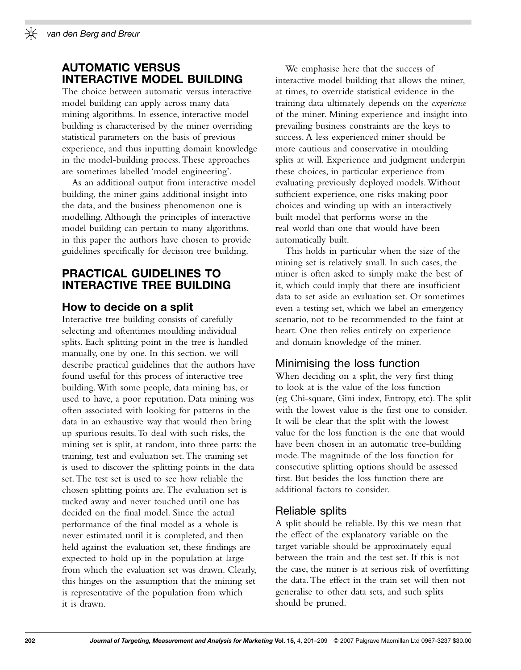# **AUTOMATIC VERSUS INTERACTIVE MODEL BUILDING**

The choice between automatic versus interactive model building can apply across many data mining algorithms. In essence, interactive model building is characterised by the miner overriding statistical parameters on the basis of previous experience, and thus inputting domain knowledge in the model-building process. These approaches are sometimes labelled 'model engineering'.

As an additional output from interactive model building, the miner gains additional insight into the data, and the business phenomenon one is modelling. Although the principles of interactive model building can pertain to many algorithms, in this paper the authors have chosen to provide guidelines specifically for decision tree building.

## **PRACTICAL GUIDELINES TO INTERACTIVE TREE BUILDING**

# **How to decide on a split**

Interactive tree building consists of carefully selecting and oftentimes moulding individual splits. Each splitting point in the tree is handled manually, one by one. In this section, we will describe practical guidelines that the authors have found useful for this process of interactive tree building. With some people, data mining has, or used to have, a poor reputation. Data mining was often associated with looking for patterns in the data in an exhaustive way that would then bring up spurious results. To deal with such risks, the mining set is split, at random, into three parts: the training, test and evaluation set. The training set is used to discover the splitting points in the data set. The test set is used to see how reliable the chosen splitting points are. The evaluation set is tucked away and never touched until one has decided on the final model. Since the actual performance of the final model as a whole is never estimated until it is completed, and then held against the evaluation set, these findings are expected to hold up in the population at large from which the evaluation set was drawn. Clearly, this hinges on the assumption that the mining set is representative of the population from which it is drawn.

We emphasise here that the success of interactive model building that allows the miner, at times, to override statistical evidence in the training data ultimately depends on the *experience* of the miner. Mining experience and insight into prevailing business constraints are the keys to success. A less experienced miner should be more cautious and conservative in moulding splits at will. Experience and judgment underpin these choices, in particular experience from evaluating previously deployed models. Without sufficient experience, one risks making poor choices and winding up with an interactively built model that performs worse in the real world than one that would have been automatically built.

This holds in particular when the size of the mining set is relatively small. In such cases, the miner is often asked to simply make the best of it, which could imply that there are insufficient data to set aside an evaluation set. Or sometimes even a testing set, which we label an emergency scenario, not to be recommended to the faint at heart. One then relies entirely on experience and domain knowledge of the miner.

# Minimising the loss function

When deciding on a split, the very first thing to look at is the value of the loss function (eg Chi-square, Gini index, Entropy, etc). The split with the lowest value is the first one to consider. It will be clear that the split with the lowest value for the loss function is the one that would have been chosen in an automatic tree-building mode. The magnitude of the loss function for consecutive splitting options should be assessed first. But besides the loss function there are additional factors to consider.

# Reliable splits

A split should be reliable. By this we mean that the effect of the explanatory variable on the target variable should be approximately equal between the train and the test set. If this is not the case, the miner is at serious risk of overfitting the data. The effect in the train set will then not generalise to other data sets, and such splits should be pruned.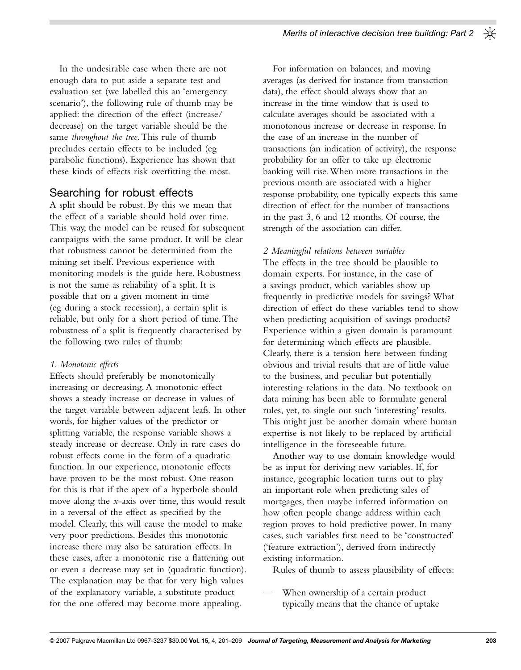In the undesirable case when there are not enough data to put aside a separate test and evaluation set (we labelled this an 'emergency scenario'), the following rule of thumb may be applied: the direction of the effect (increase / decrease) on the target variable should be the same *throughout the tree*. This rule of thumb precludes certain effects to be included (eg parabolic functions). Experience has shown that these kinds of effects risk overfitting the most.

## Searching for robust effects

A split should be robust. By this we mean that the effect of a variable should hold over time. This way, the model can be reused for subsequent campaigns with the same product. It will be clear that robustness cannot be determined from the mining set itself. Previous experience with monitoring models is the guide here. Robustness is not the same as reliability of a split. It is possible that on a given moment in time (eg during a stock recession), a certain split is reliable, but only for a short period of time. The robustness of a split is frequently characterised by the following two rules of thumb:

#### *1. Monotonic effects*

Effects should preferably be monotonically increasing or decreasing. A monotonic effect shows a steady increase or decrease in values of the target variable between adjacent leafs. In other words, for higher values of the predictor or splitting variable, the response variable shows a steady increase or decrease. Only in rare cases do robust effects come in the form of a quadratic function. In our experience, monotonic effects have proven to be the most robust. One reason for this is that if the apex of a hyperbole should move along the *x*-axis over time, this would result in a reversal of the effect as specified by the model. Clearly, this will cause the model to make very poor predictions. Besides this monotonic increase there may also be saturation effects. In these cases, after a monotonic rise a flattening out or even a decrease may set in (quadratic function). The explanation may be that for very high values of the explanatory variable, a substitute product for the one offered may become more appealing.

For information on balances, and moving averages (as derived for instance from transaction data), the effect should always show that an increase in the time window that is used to calculate averages should be associated with a monotonous increase or decrease in response. In the case of an increase in the number of transactions (an indication of activity), the response probability for an offer to take up electronic banking will rise. When more transactions in the previous month are associated with a higher response probability, one typically expects this same direction of effect for the number of transactions in the past 3, 6 and 12 months. Of course, the strength of the association can differ.

#### *2 Meaningful relations between variables*

The effects in the tree should be plausible to domain experts. For instance, in the case of a savings product, which variables show up frequently in predictive models for savings? What direction of effect do these variables tend to show when predicting acquisition of savings products? Experience within a given domain is paramount for determining which effects are plausible. Clearly, there is a tension here between finding obvious and trivial results that are of little value to the business, and peculiar but potentially interesting relations in the data. No textbook on data mining has been able to formulate general rules, yet, to single out such 'interesting' results. This might just be another domain where human expertise is not likely to be replaced by artificial intelligence in the foreseeable future.

Another way to use domain knowledge would be as input for deriving new variables. If, for instance, geographic location turns out to play an important role when predicting sales of mortgages, then maybe inferred information on how often people change address within each region proves to hold predictive power. In many cases, such variables first need to be 'constructed' ('feature extraction'), derived from indirectly existing information.

Rules of thumb to assess plausibility of effects:

When ownership of a certain product typically means that the chance of uptake —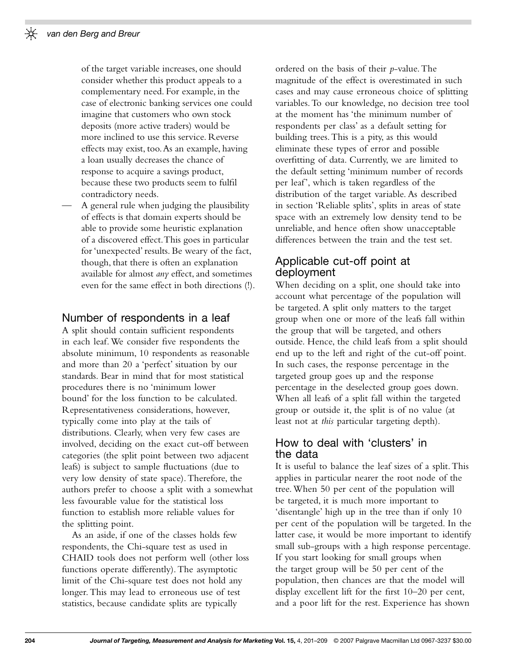of the target variable increases, one should consider whether this product appeals to a complementary need. For example, in the case of electronic banking services one could imagine that customers who own stock deposits (more active traders) would be more inclined to use this service. Reverse effects may exist, too. As an example, having a loan usually decreases the chance of response to acquire a savings product, because these two products seem to fulfil contradictory needs.

A general rule when judging the plausibility of effects is that domain experts should be able to provide some heuristic explanation of a discovered effect. This goes in particular for 'unexpected' results. Be weary of the fact, though, that there is often an explanation available for almost *any* effect, and sometimes even for the same effect in both directions (!).

## Number of respondents in a leaf

A split should contain sufficient respondents in each leaf. We consider five respondents the absolute minimum, 10 respondents as reasonable and more than 20 a 'perfect' situation by our standards. Bear in mind that for most statistical procedures there is no 'minimum lower bound' for the loss function to be calculated. Representativeness considerations, however, typically come into play at the tails of distributions. Clearly, when very few cases are involved, deciding on the exact cut-off between categories (the split point between two adjacent leafs) is subject to sample fluctuations (due to very low density of state space). Therefore, the authors prefer to choose a split with a somewhat less favourable value for the statistical loss function to establish more reliable values for the splitting point.

As an aside, if one of the classes holds few respondents, the Chi-square test as used in CHAID tools does not perform well (other loss functions operate differently). The asymptotic limit of the Chi-square test does not hold any longer. This may lead to erroneous use of test statistics, because candidate splits are typically

ordered on the basis of their *p*-value. The magnitude of the effect is overestimated in such cases and may cause erroneous choice of splitting variables. To our knowledge, no decision tree tool at the moment has 'the minimum number of respondents per class' as a default setting for building trees. This is a pity, as this would eliminate these types of error and possible overfitting of data. Currently, we are limited to the default setting 'minimum number of records per leaf', which is taken regardless of the distribution of the target variable. As described in section 'Reliable splits', splits in areas of state space with an extremely low density tend to be unreliable, and hence often show unacceptable differences between the train and the test set.

## Applicable cut-off point at deployment

When deciding on a split, one should take into account what percentage of the population will be targeted. A split only matters to the target group when one or more of the leafs fall within the group that will be targeted, and others outside. Hence, the child leafs from a split should end up to the left and right of the cut-off point. In such cases, the response percentage in the targeted group goes up and the response percentage in the deselected group goes down. When all leafs of a split fall within the targeted group or outside it, the split is of no value (at least not at *this* particular targeting depth).

#### How to deal with 'clusters' in the data

It is useful to balance the leaf sizes of a split. This applies in particular nearer the root node of the tree. When 50 per cent of the population will be targeted, it is much more important to 'disentangle' high up in the tree than if only 10 per cent of the population will be targeted. In the latter case, it would be more important to identify small sub-groups with a high response percentage. If you start looking for small groups when the target group will be 50 per cent of the population, then chances are that the model will display excellent lift for the first  $10-20$  per cent, and a poor lift for the rest. Experience has shown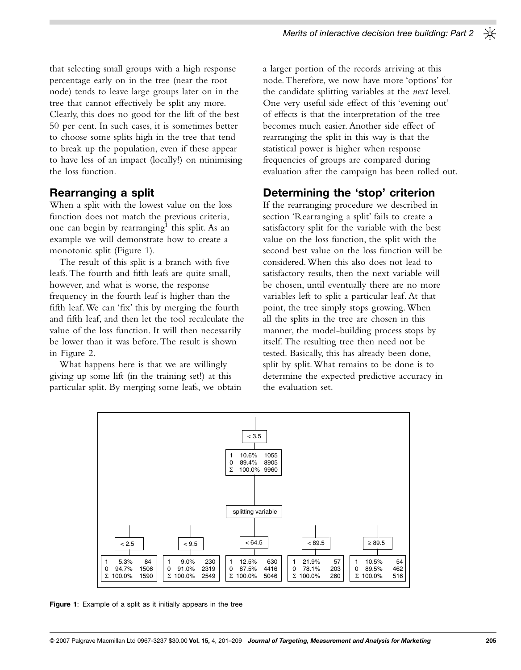that selecting small groups with a high response percentage early on in the tree (near the root node) tends to leave large groups later on in the tree that cannot effectively be split any more. Clearly, this does no good for the lift of the best 50 per cent. In such cases, it is sometimes better to choose some splits high in the tree that tend to break up the population, even if these appear to have less of an impact (locally!) on minimising the loss function.

## **Rearranging a split**

When a split with the lowest value on the loss function does not match the previous criteria, one can begin by rearranging $^1$  this split. As an example we will demonstrate how to create a monotonic split (Figure 1).

The result of this split is a branch with five leafs. The fourth and fifth leafs are quite small, however, and what is worse, the response frequency in the fourth leaf is higher than the fifth leaf. We can 'fix' this by merging the fourth and fifth leaf, and then let the tool recalculate the value of the loss function. It will then necessarily be lower than it was before. The result is shown in Figure 2.

What happens here is that we are willingly giving up some lift (in the training set!) at this particular split. By merging some leafs, we obtain a larger portion of the records arriving at this node. Therefore, we now have more 'options' for the candidate splitting variables at the *next* level. One very useful side effect of this 'evening out' of effects is that the interpretation of the tree becomes much easier. Another side effect of rearranging the split in this way is that the statistical power is higher when response frequencies of groups are compared during evaluation after the campaign has been rolled out.

# **Determining the 'stop' criterion**

If the rearranging procedure we described in section 'Rearranging a split' fails to create a satisfactory split for the variable with the best value on the loss function, the split with the second best value on the loss function will be considered. When this also does not lead to satisfactory results, then the next variable will be chosen, until eventually there are no more variables left to split a particular leaf. At that point, the tree simply stops growing. When all the splits in the tree are chosen in this manner, the model-building process stops by itself. The resulting tree then need not be tested. Basically, this has already been done, split by split. What remains to be done is to determine the expected predictive accuracy in the evaluation set.



**Figure 1**: Example of a split as it initially appears in the tree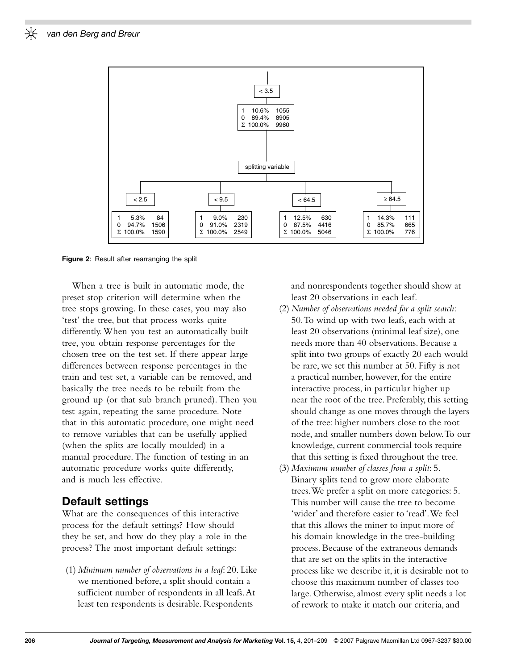

**Figure 2**: Result after rearranging the split

When a tree is built in automatic mode, the preset stop criterion will determine when the tree stops growing. In these cases, you may also 'test' the tree, but that process works quite differently. When you test an automatically built tree, you obtain response percentages for the chosen tree on the test set. If there appear large differences between response percentages in the train and test set, a variable can be removed, and basically the tree needs to be rebuilt from the ground up (or that sub branch pruned). Then you test again, repeating the same procedure. Note that in this automatic procedure, one might need to remove variables that can be usefully applied (when the splits are locally moulded) in a manual procedure. The function of testing in an automatic procedure works quite differently, and is much less effective.

## **Default settings**

What are the consequences of this interactive process for the default settings? How should they be set, and how do they play a role in the process? The most important default settings:

(1) *Minimum number of observations in a leaf*: 20. Like we mentioned before, a split should contain a sufficient number of respondents in all leafs. At least ten respondents is desirable. Respondents

and nonrespondents together should show at least 20 observations in each leaf.

- (2) *Number of observations needed for a split search*: 50. To wind up with two leafs, each with at least 20 observations (minimal leaf size), one needs more than 40 observations. Because a split into two groups of exactly 20 each would be rare, we set this number at 50. Fifty is not a practical number, however, for the entire interactive process, in particular higher up near the root of the tree. Preferably, this setting should change as one moves through the layers of the tree: higher numbers close to the root node, and smaller numbers down below. To our knowledge, current commercial tools require that this setting is fixed throughout the tree.
- (3) *Maximum number of classes from a split*: 5. Binary splits tend to grow more elaborate trees. We prefer a split on more categories: 5. This number will cause the tree to become ' wider' and therefore easier to 'read'. We feel that this allows the miner to input more of his domain knowledge in the tree-building process. Because of the extraneous demands that are set on the splits in the interactive process like we describe it, it is desirable not to choose this maximum number of classes too large. Otherwise, almost every split needs a lot of rework to make it match our criteria, and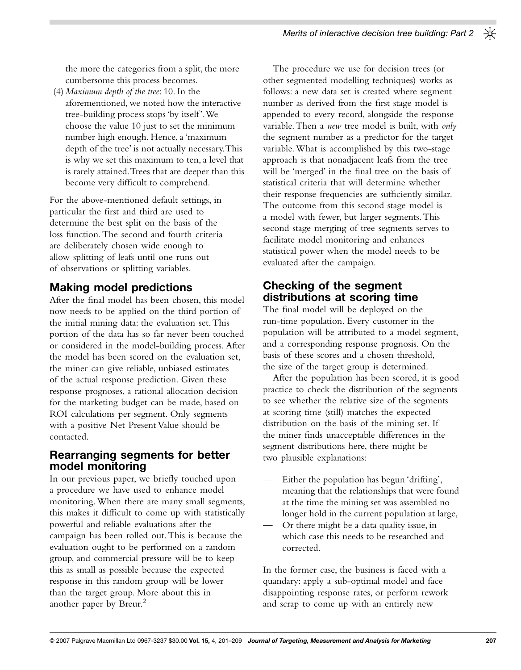the more the categories from a split, the more cumbersome this process becomes.

(4) *Maximum depth of the tree*: 10. In the aforementioned, we noted how the interactive tree-building process stops 'by itself'. We choose the value 10 just to set the minimum number high enough. Hence, a 'maximum depth of the tree' is not actually necessary. This is why we set this maximum to ten, a level that is rarely attained. Trees that are deeper than this become very difficult to comprehend.

For the above-mentioned default settings, in particular the first and third are used to determine the best split on the basis of the loss function. The second and fourth criteria are deliberately chosen wide enough to allow splitting of leafs until one runs out of observations or splitting variables.

# **Making model predictions**

After the final model has been chosen, this model now needs to be applied on the third portion of the initial mining data: the evaluation set. This portion of the data has so far never been touched or considered in the model-building process. After the model has been scored on the evaluation set, the miner can give reliable, unbiased estimates of the actual response prediction. Given these response prognoses, a rational allocation decision for the marketing budget can be made, based on ROI calculations per segment. Only segments with a positive Net Present Value should be contacted.

#### **Rearranging segments for better model monitoring**

In our previous paper, we briefly touched upon a procedure we have used to enhance model monitoring. When there are many small segments, this makes it difficult to come up with statistically powerful and reliable evaluations after the campaign has been rolled out. This is because the evaluation ought to be performed on a random group, and commercial pressure will be to keep this as small as possible because the expected response in this random group will be lower than the target group. More about this in another paper by Breur.<sup>2</sup>

The procedure we use for decision trees (or other segmented modelling techniques) works as follows: a new data set is created where segment number as derived from the first stage model is appended to every record, alongside the response variable. Then a *new* tree model is built, with *only* the segment number as a predictor for the target variable. What is accomplished by this two-stage approach is that nonadjacent leafs from the tree will be 'merged' in the final tree on the basis of statistical criteria that will determine whether their response frequencies are sufficiently similar. The outcome from this second stage model is a model with fewer, but larger segments. This second stage merging of tree segments serves to facilitate model monitoring and enhances statistical power when the model needs to be evaluated after the campaign.

# **Checking of the segment distributions at scoring time**

The final model will be deployed on the run-time population. Every customer in the population will be attributed to a model segment, and a corresponding response prognosis. On the basis of these scores and a chosen threshold, the size of the target group is determined.

After the population has been scored, it is good practice to check the distribution of the segments to see whether the relative size of the segments at scoring time (still) matches the expected distribution on the basis of the mining set. If the miner finds unacceptable differences in the segment distributions here, there might be two plausible explanations:

- Either the population has begun 'drifting', meaning that the relationships that were found at the time the mining set was assembled no longer hold in the current population at large, —
- Or there might be a data quality issue, in which case this needs to be researched and corrected. —

In the former case, the business is faced with a quandary: apply a sub-optimal model and face disappointing response rates, or perform rework and scrap to come up with an entirely new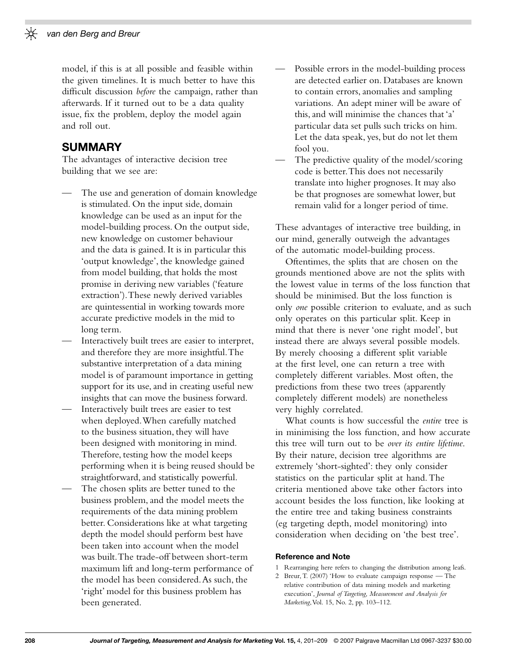model, if this is at all possible and feasible within the given timelines. It is much better to have this difficult discussion *before* the campaign, rather than afterwards. If it turned out to be a data quality issue, fix the problem, deploy the model again and roll out.

## **SUMMARY**

The advantages of interactive decision tree building that we see are:

- The use and generation of domain knowledge is stimulated. On the input side, domain knowledge can be used as an input for the model-building process. On the output side, new knowledge on customer behaviour and the data is gained. It is in particular this ' output knowledge', the knowledge gained from model building, that holds the most promise in deriving new variables ('feature extraction'). These newly derived variables are quintessential in working towards more accurate predictive models in the mid to long term. —
- Interactively built trees are easier to interpret, and therefore they are more insightful. The substantive interpretation of a data mining model is of paramount importance in getting support for its use, and in creating useful new insights that can move the business forward. —
- Interactively built trees are easier to test when deployed. When carefully matched to the business situation, they will have been designed with monitoring in mind. Therefore, testing how the model keeps performing when it is being reused should be straightforward, and statistically powerful. —
- The chosen splits are better tuned to the business problem, and the model meets the requirements of the data mining problem better. Considerations like at what targeting depth the model should perform best have been taken into account when the model was built. The trade-off between short-term maximum lift and long-term performance of the model has been considered. As such, the 'right' model for this business problem has been generated. —
- Possible errors in the model-building process are detected earlier on. Databases are known to contain errors, anomalies and sampling variations. An adept miner will be aware of this, and will minimise the chances that 'a' particular data set pulls such tricks on him. Let the data speak, yes, but do not let them fool you. —
- The predictive quality of the model/scoring code is better. This does not necessarily translate into higher prognoses. It may also be that prognoses are somewhat lower, but remain valid for a longer period of time. —

These advantages of interactive tree building, in our mind, generally outweigh the advantages of the automatic model-building process.

Oftentimes, the splits that are chosen on the grounds mentioned above are not the splits with the lowest value in terms of the loss function that should be minimised. But the loss function is only *one* possible criterion to evaluate, and as such only operates on this particular split. Keep in mind that there is never 'one right model', but instead there are always several possible models. By merely choosing a different split variable at the first level, one can return a tree with completely different variables. Most often, the predictions from these two trees (apparently completely different models) are nonetheless very highly correlated.

What counts is how successful the *entire* tree is in minimising the loss function, and how accurate this tree will turn out to be *over its entire lifetime*. By their nature, decision tree algorithms are extremely 'short-sighted': they only consider statistics on the particular split at hand. The criteria mentioned above take other factors into account besides the loss function, like looking at the entire tree and taking business constraints (eg targeting depth, model monitoring) into consideration when deciding on 'the best tree'.

#### **Reference and Note**

- 1 Rearranging here refers to changing the distribution among leafs .
- 2 Breur, T. (2007) 'How to evaluate campaign response The relative contribution of data mining models and marketing execution', *Journal of Targeting*, *Measurement and Analysis for Marketing*, Vol. 15, No. 2, pp. 103-112.